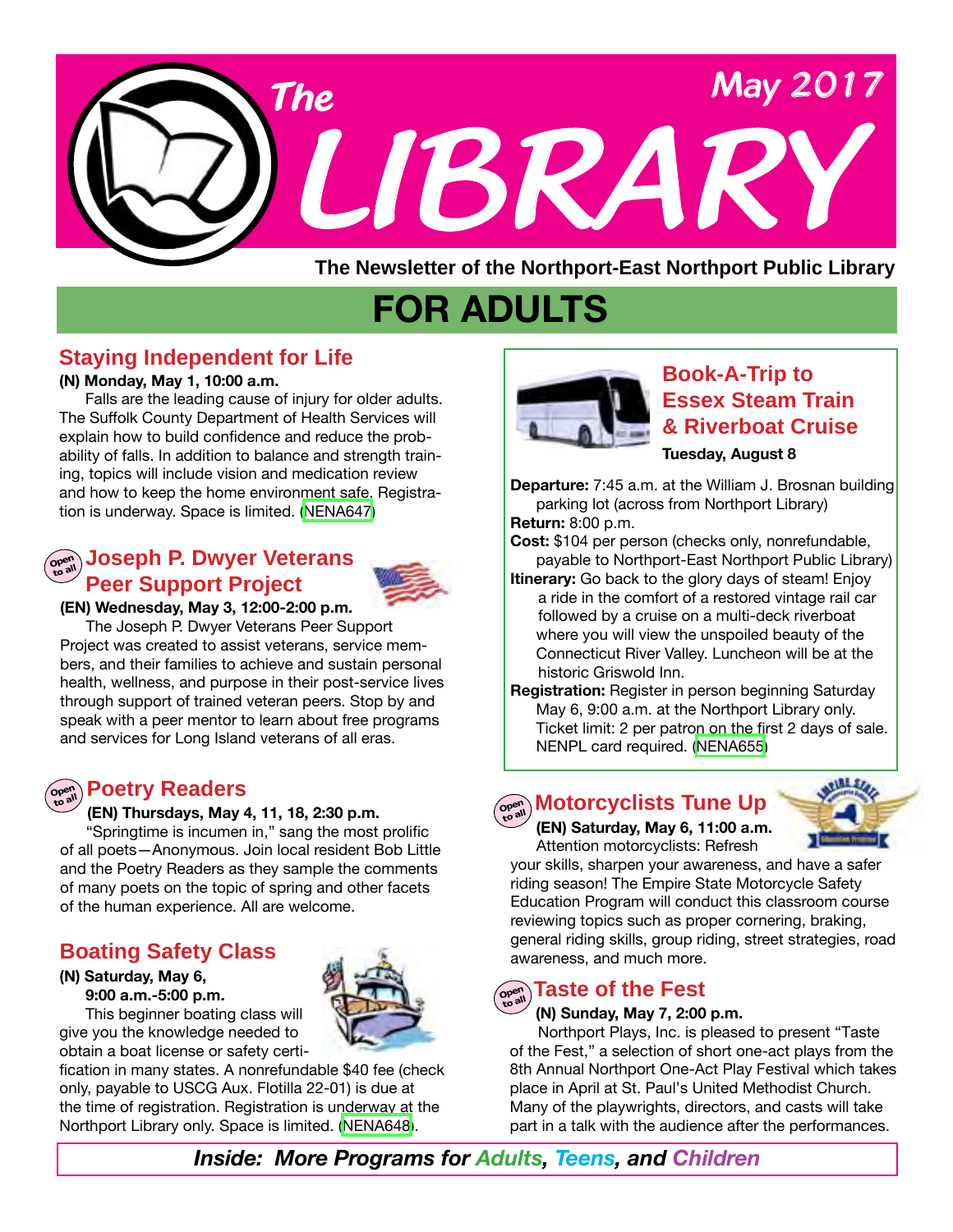

**The Newsletter of the Northport-East Northport Public Library**

# **FOR ADULTS**

### **Staying Independent for Life**

#### **(N) Monday, May 1, 10:00 a.m.**

 Falls are the leading cause of injury for older adults. The Suffolk County Department of Health Services will explain how to build confidence and reduce the probability of falls. In addition to balance and strength training, topics will include vision and medication review and how to keep the home environment safe. Registration is underway. Space is limited. [\(NENA647\)](http://alpha1.suffolk.lib.ny.us/record%3Dg1071580~S43)

### **Open to all Joseph P. Dwyer Veterans Peer Support Project**



### **(EN) Wednesday, May 3, 12:00-2:00 p.m.**

 The Joseph P. Dwyer Veterans Peer Support Project was created to assist veterans, service members, and their families to achieve and sustain personal health, wellness, and purpose in their post-service lives through support of trained veteran peers. Stop by and speak with a peer mentor to learn about free programs and services for Long Island veterans of all eras.

#### **Poetry Readers**  $OP<sup>er</sup>$ **to all**

#### **(EN) Thursdays, May 4, 11, 18, 2:30 p.m.**

 "Springtime is incumen in," sang the most prolific of all poets—Anonymous. Join local resident Bob Little and the Poetry Readers as they sample the comments of many poets on the topic of spring and other facets of the human experience. All are welcome.

### **Boating Safety Class**

#### **(N) Saturday, May 6, 9:00 a.m.-5:00 p.m.**

 This beginner boating class will give you the knowledge needed to obtain a boat license or safety certi-

fication in many states. A nonrefundable \$40 fee (check only, payable to USCG Aux. Flotilla 22-01) is due at the time of registration. Registration is underway at the Northport Library only. Space is limited. [\(NENA648\)](http://alpha1.suffolk.lib.ny.us/record%3Dg1071581~S43).



### **Book-A-Trip to Essex Steam Train & Riverboat Cruise**

#### **Tuesday, August 8**

**Departure:** 7:45 a.m. at the William J. Brosnan building parking lot (across from Northport Library) **Return:** 8:00 p.m.

**Cost:** \$104 per person (checks only, nonrefundable, payable to Northport-East Northport Public Library)

- **Itinerary:** Go back to the glory days of steam! Enjoy a ride in the comfort of a restored vintage rail car followed by a cruise on a multi-deck riverboat where you will view the unspoiled beauty of the Connecticut River Valley. Luncheon will be at the historic Griswold Inn.
- **Registration:** Register in person beginning Saturday May 6, 9:00 a.m. at the Northport Library only. Ticket limit: 2 per patron on the first 2 days of sale. NENPL card required. [\(NENA655](http://alpha1.suffolk.lib.ny.us/record%3Dg1072297~S43))



က္ေရး) Motorcyclists Tune Up  **(EN) Saturday, May 6, 11:00 a.m.** Attention motorcyclists: Refresh



your skills, sharpen your awareness, and have a safer riding season! The Empire State Motorcycle Safety Education Program will conduct this classroom course reviewing topics such as proper cornering, braking, general riding skills, group riding, street strategies, road awareness, and much more.

## **Open to all Taste of the Fest**

#### **(N) Sunday, May 7, 2:00 p.m.**

 Northport Plays, Inc. is pleased to present "Taste of the Fest," a selection of short one-act plays from the 8th Annual Northport One-Act Play Festival which takes place in April at St. Paul's United Methodist Church. Many of the playwrights, directors, and casts will take part in a talk with the audience after the performances.

*Inside: More Programs for Adults, Teens, and Children*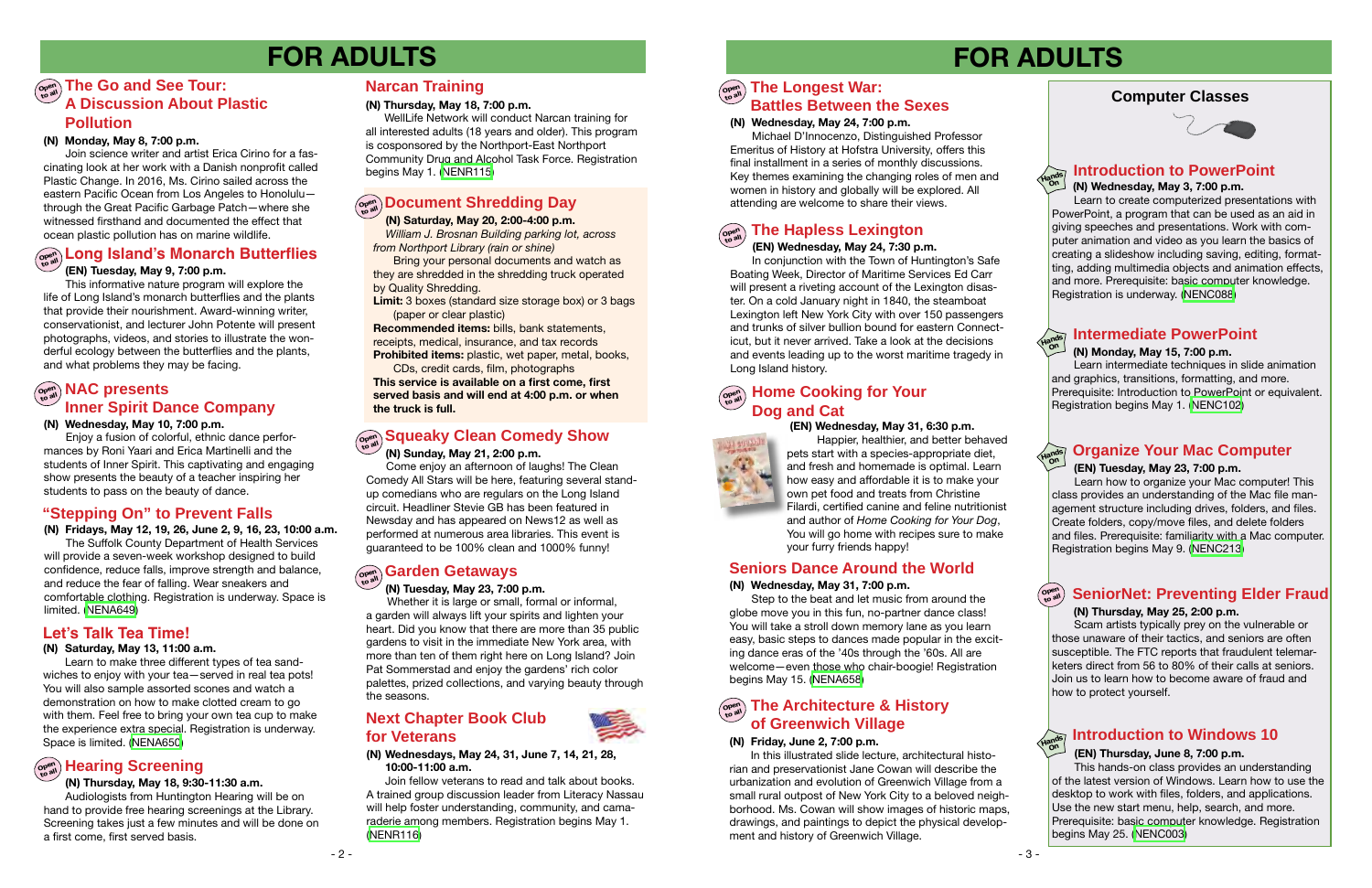### **Computer Classes**



# **FOR ADULTS FOR ADULTS**

### **Introduction to PowerPoint**

### **(EN) Tuesday, May 9, 7:00 p.m.**

 This informative nature program will explore the life of Long Island's monarch butterflies and the plants that provide their nourishment. Award-winning writer, conservationist, and lecturer John Potente will present photographs, videos, and stories to illustrate the wonderful ecology between the butterflies and the plants, and what problems they may be facing.

#### **Open to all The Longest War: Battles Between the Sexes**

#### **(N) Wednesday, May 24, 7:00 p.m.**

Michael D'Innocenzo, Distinguished Professor Emeritus of History at Hofstra University, offers this final installment in a series of monthly discussions. Key themes examining the changing roles of men and women in history and globally will be explored. All attending are welcome to share their views.

### **Introduction to Windows 10**

### **(EN) Thursday, June 8, 7:00 p.m.**

This hands-on class provides an understanding of the latest version of Windows. Learn how to use the desktop to work with files, folders, and applications. Use the new start menu, help, search, and more. Prerequisite: basic computer knowledge. Registration begins May 25. [\(NENC003\)](http://alpha1.suffolk.lib.ny.us/record%3Dg1061941~S43)

**Open** 

### **to all SeniorNet: Preventing Elder Fraud**

### **(N) Thursday, May 25, 2:00 p.m.**

Scam artists typically prey on the vulnerable or those unaware of their tactics, and seniors are often susceptible. The FTC reports that fraudulent telemarketers direct from 56 to 80% of their calls at seniors. Join us to learn how to become aware of fraud and how to protect yourself.

## **Open to all Hearing Screening**

#### **(N) Thursday, May 18, 9:30-11:30 a.m.**

Audiologists from Huntington Hearing will be on hand to provide free hearing screenings at the Library. Screening takes just a few minutes and will be done on a first come, first served basis.

### **open The Go and See Tour: A Discussion About Plastic Pollution**

#### **(N) Monday, May 15, 7:00 p.m.**

## **Open to all Document Shredding Day**

 Learn intermediate techniques in slide animation and graphics, transitions, formatting, and more. Prerequisite: Introduction to PowerPoint or equivalent. Registration begins May 1. ([NENC102](http://alpha1.suffolk.lib.ny.us/record%3Dg1025171~S43))

### **Intermediate PowerPoint**

**Hands On**

**Hands On**

**Hands On**

### **Narcan Training**

#### **(N) Thursday, May 18, 7:00 p.m.**

 WellLife Network will conduct Narcan training for all interested adults (18 years and older). This program is cosponsored by the Northport-East Northport Community Drug and Alcohol Task Force. Registration begins May 1. [\(NENR115\)](http://alpha1.suffolk.lib.ny.us/record%3Dg1072790~S43)

### **(N) Sunday, May 21, 2:00 p.m.**

Bring your personal documents and watch as they are shredded in the shredding truck operated by Quality Shredding.

 Come enjoy an afternoon of laughs! The Clean Comedy All Stars will be here, featuring several standup comedians who are regulars on the Long Island circuit. Headliner Stevie GB has been featured in Newsday and has appeared on News12 as well as performed at numerous area libraries. This event is guaranteed to be 100% clean and 1000% funny!

# $\left(\begin{smallmatrix} \Omega_{\mathbf{p}\in\mathbb{N}} \\ \Omega_{\mathbf{p}\in\mathbb{N}} \end{smallmatrix}\right)$  Garden Getaways

#### **(EN) Tuesday, May 23, 7:00 p.m.**

Learn how to organize your Mac computer! This class provides an understanding of the Mac file management structure including drives, folders, and files. Create folders, copy/move files, and delete folders and files. Prerequisite: familiarity with a Mac computer. Registration begins May 9. [\(NENC213\)](http://alpha1.suffolk.lib.ny.us/record%3Dg1072830~S43)

**Hands On**

 **(N) Wednesday, May 3, 7:00 p.m.**

 Learn to create computerized presentations with PowerPoint, a program that can be used as an aid in giving speeches and presentations. Work with computer animation and video as you learn the basics of creating a slideshow including saving, editing, formatting, adding multimedia objects and animation effects, and more. Prerequisite: basic computer knowledge. Registration is underway. [\(NENC088\)](http://alpha1.suffolk.lib.ny.us/record%3Dg1019002~S43)

#### **(N) Monday, May 8, 7:00 p.m.**

**Squeaky Clean Comedy Show**<br>
(N) Sunday, May 21, 2:00 p.m.<br> **Organize Your Mac Computer**<br>
Pets start with a species-appropriate diet, and better behaved<br>
Pets start with a species-appropriate diet, Happier, healthier, and better behaved pets start with a species-appropriate diet, and fresh and homemade is optimal. Learn how easy and affordable it is to make your own pet food and treats from Christine Filardi, certified canine and feline nutritionist and author of *Home Cooking for Your Dog*, You will go home with recipes sure to make your furry friends happy!

### $\left( \begin{smallmatrix} \mathbb{P}^{\text{per}} \\ \mathbb{P}^{\text{gen}} \end{smallmatrix} \right)$  **Home Cooking for Your Dog and Cat**

 Join science writer and artist Erica Cirino for a fascinating look at her work with a Danish nonprofit called Plastic Change. In 2016, Ms. Cirino sailed across the eastern Pacific Ocean from Los Angeles to Honolulu through the Great Pacific Garbage Patch—where she witnessed firsthand and documented the effect that ocean plastic pollution has on marine wildlife.

## **Copen Long Island's Monarch Butterflies**

### $\left(\begin{smallmatrix} \mathbb{C} & \mathbb{C}^n \ \mathbb{C} & \mathbb{C}^n \end{smallmatrix}\right)$  The Architecture & History **of Greenwich Village**

### $\left(\begin{smallmatrix} \mathsf{open} \ \mathsf{open}\end{smallmatrix}\right)$  **NAC presents Inner Spirit Dance Company**

#### **(N) Fridays, May 12, 19, 26, June 2, 9, 16, 23, 10:00 a.m.**

The Suffolk County Department of Health Services will provide a seven-week workshop designed to build confidence, reduce falls, improve strength and balance, and reduce the fear of falling. Wear sneakers and comfortable clothing. Registration is underway. Space is limited. [\(NENA649\)](http://alpha1.suffolk.lib.ny.us/record%3Dg1071612~S43)

### **"Stepping On" to Prevent Falls**

#### **(N) Saturday, May 13, 11:00 a.m.**

 Learn to make three different types of tea sandwiches to enjoy with your tea—served in real tea pots! You will also sample assorted scones and watch a demonstration on how to make clotted cream to go with them. Feel free to bring your own tea cup to make the experience extra special. Registration is underway. Space is limited. ([NENA650](http://alpha1.suffolk.lib.ny.us/record%3Dg1071584~S43))

### **Let's Talk Tea Time!**

 **(N) Saturday, May 20, 2:00-4:00 p.m.**   *William J. Brosnan Building parking lot, across from Northport Library (rain or shine)*

**Limit:** 3 boxes (standard size storage box) or 3 bags (paper or clear plastic)

**Recommended items:** bills, bank statements, receipts, medical, insurance, and tax records **Prohibited items:** plastic, wet paper, metal, books,

CDs, credit cards, film, photographs

**This service is available on a first come, first served basis and will end at 4:00 p.m. or when the truck is full.**

#### **(N) Tuesday, May 23, 7:00 p.m.**

 Whether it is large or small, formal or informal, a garden will always lift your spirits and lighten your heart. Did you know that there are more than 35 public gardens to visit in the immediate New York area, with more than ten of them right here on Long Island? Join Pat Sommerstad and enjoy the gardens' rich color palettes, prized collections, and varying beauty through the seasons.

#### **Open to all**

### **(EN) Wednesday, May 24, 7:30 p.m.**

In conjunction with the Town of Huntington's Safe Boating Week, Director of Maritime Services Ed Carr will present a riveting account of the Lexington disaster. On a cold January night in 1840, the steamboat Lexington left New York City with over 150 passengers and trunks of silver bullion bound for eastern Connecticut, but it never arrived. Take a look at the decisions and events leading up to the worst maritime tragedy in Long Island history.

### **The Hapless Lexington**

#### **(N) Wednesdays, May 24, 31, June 7, 14, 21, 28, 10:00-11:00 a.m.**

 Join fellow veterans to read and talk about books. A trained group discussion leader from Literacy Nassau will help foster understanding, community, and camaraderie among members. Registration begins May 1. ([NENR116\)](http://alpha1.suffolk.lib.ny.us/record%3Dg1072797~S43)

### **Next Chapter Book Club for Veterans**



### **(N) Wednesday, May 31, 7:00 p.m.**

 Step to the beat and let music from around the globe move you in this fun, no-partner dance class! You will take a stroll down memory lane as you learn easy, basic steps to dances made popular in the exciting dance eras of the '40s through the '60s. All are welcome—even those who chair-boogie! Registration begins May 15. ([NENA658](http://alpha1.suffolk.lib.ny.us/record%3Dg1072417~S43))

### **Seniors Dance Around the World**

#### **(EN) Wednesday, May 31, 6:30 p.m.**



#### **(N) Friday, June 2, 7:00 p.m.**

 In this illustrated slide lecture, architectural historian and preservationist Jane Cowan will describe the urbanization and evolution of Greenwich Village from a small rural outpost of New York City to a beloved neighborhood. Ms. Cowan will show images of historic maps, drawings, and paintings to depict the physical development and history of Greenwich Village.

**(N) Wednesday, May 10, 7:00 p.m.**

 Enjoy a fusion of colorful, ethnic dance performances by Roni Yaari and Erica Martinelli and the students of Inner Spirit. This captivating and engaging show presents the beauty of a teacher inspiring her students to pass on the beauty of dance.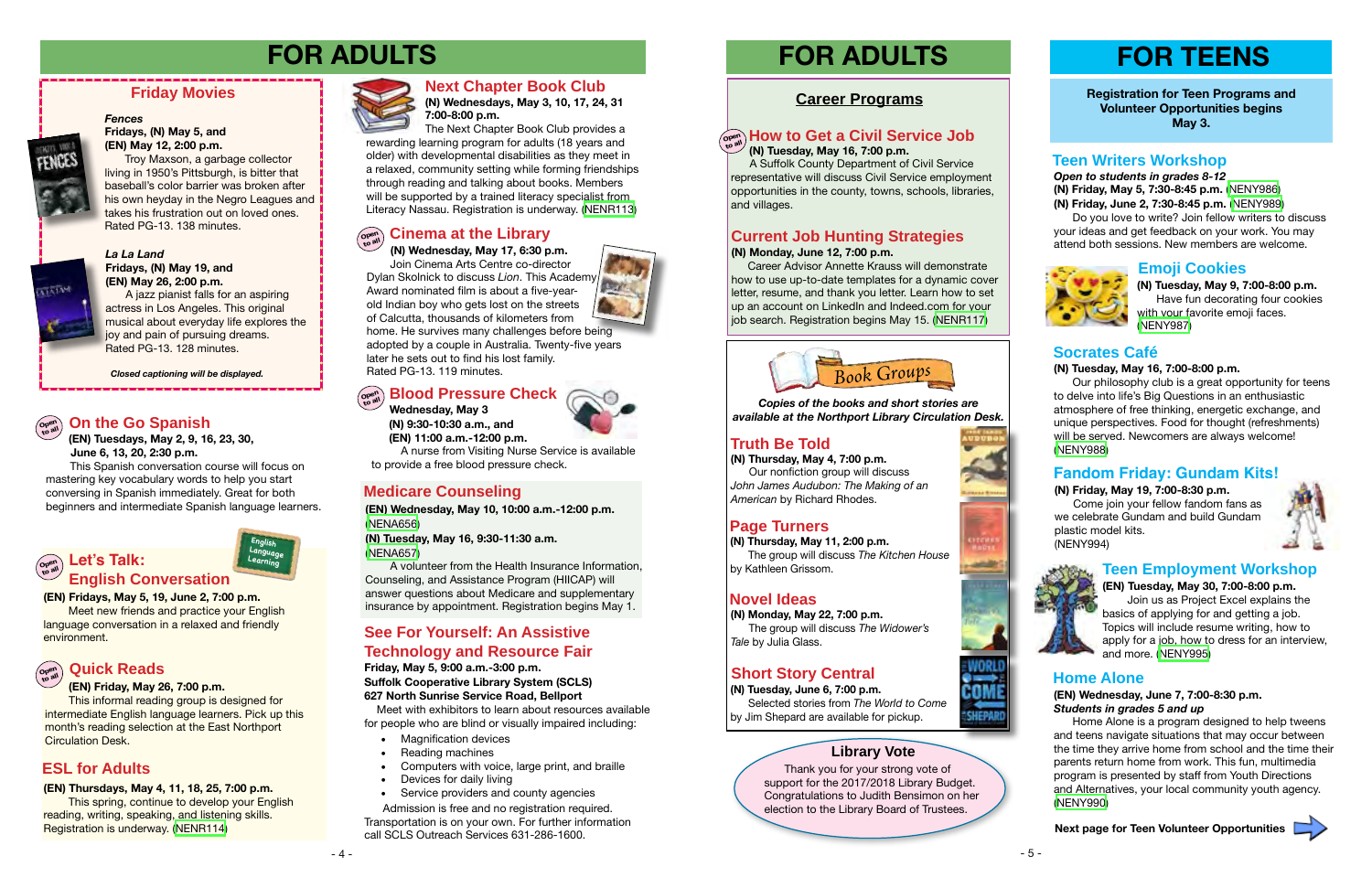#### *La La Land* **Fridays, (N) May 19, and (EN) May 26, 2:00 p.m.**

A jazz pianist falls for an aspiring actress in Los Angeles. This original musical about everyday life explores the joy and pain of pursuing dreams. Rated PG-13. 128 minutes.

### **Friday Movies**

### *Fences*



### **Fridays, (N) May 5, and (EN) May 12, 2:00 p.m.**

This informal reading group is designed for intermediate English language learners. Pick up this month's reading selection at the East Northport **Circulation Desk.** 

Troy Maxson, a garbage collector living in 1950's Pittsburgh, is bitter that baseball's color barrier was broken after his own heyday in the Negro Leagues and takes his frustration out on loved ones. Rated PG-13. 138 minutes.



*Closed captioning will be displayed.*

**Open to all**

#### **(EN) Fridays, May 5, 19, June 2, 7:00 p.m.**

Meet new friends and practice your English language conversation in a relaxed and friendly environment.

### **(EN) Friday, May 26, 7:00 p.m.**

#### **Open to all Let's Talk: English Conversation**

#### **Open to all Quick Reads**

**English Language Learning**

#### **(EN) Thursdays, May 4, 11, 18, 25, 7:00 p.m.**

This spring, continue to develop your English reading, writing, speaking, and listening skills. Registration is underway. [\(NENR114\)](http://alpha1.suffolk.lib.ny.us/record%3Dg1070941~S43)



### **ESL for Adults**

**(N) Wednesdays, May 3, 10, 17, 24, 31 7:00-8:00 p.m.** The Next Chapter Book Club provides a

rewarding learning program for adults (18 years and older) with developmental disabilities as they meet in a relaxed, community setting while forming friendships through reading and talking about books. Members will be supported by a trained literacy specialist from Literacy Nassau. Registration is underway. [\(NENR113\)](http://alpha1.suffolk.lib.ny.us/record%3Dg1070212~S43)

### **Next Chapter Book Club**



### **Truth Be Told**

### **Page Turners**

### **Novel Ideas**

**(N) Thursday, May 11, 2:00 p.m.** The group will discuss *The Kitchen House*  by Kathleen Grissom.

**(N) Thursday, May 4, 7:00 p.m.** Our nonfiction group will discuss *John James Audubon: The Making of an American* by Richard Rhodes.

**(N) Monday, May 22, 7:00 p.m.** The group will discuss *The Widower's Tale* by Julia Glass.

### **Short Story Central**

**(N) Tuesday, June 6, 7:00 p.m.** Selected stories from *The World to Come*  by Jim Shepard are available for pickup.



*Open to students in grades 8-12* **(N) Friday, May 5, 7:30-8:45 p.m.** [\(NENY986](http://alpha1.suffolk.lib.ny.us/record%3Dg1071641~S43)) **(N) Friday, June 2, 7:30-8:45 p.m.** ([NENY989](http://alpha1.suffolk.lib.ny.us/record%3Dg1071910~S43))

 Do you love to write? Join fellow writers to discuss your ideas and get feedback on your work. You may attend both sessions. New members are welcome.



**Registration for Teen Programs and Volunteer Opportunities begins May 3.**

### **Teen Writers Workshop**

### **Emoji Cookies**

**(N) Tuesday, May 9, 7:00-8:00 p.m.** Have fun decorating four cookies with your favorite emoji faces. [\(NENY987\)](http://alpha1.suffolk.lib.ny.us/record%3Dg1071909~S43)

### **Fandom Friday: Gundam Kits!**

# **FOR ADULTS FOR TEENS FOR ADULTS**

#### **(N) Friday, May 19, 7:00-8:30 p.m.** Come join your fellow fandom fans as we celebrate Gundam and build Gundam plastic model kits. (NENY994)





### **Socrates Café**

### **(N) Tuesday, May 16, 7:00-8:00 p.m.**

 Our philosophy club is a great opportunity for teens to delve into life's Big Questions in an enthusiastic atmosphere of free thinking, energetic exchange, and unique perspectives. Food for thought (refreshments) will be served. Newcomers are always welcome! ([NENY988](http://alpha1.suffolk.lib.ny.us/record%3Dg1071912~S43))

- • Magnification devices
- Reading machines
- Computers with voice, large print, and braille
- Devices for daily living
- Service providers and county agencies

### **Home Alone**

**(EN) Wednesday, June 7, 7:00-8:30 p.m.** *Students in grades 5 and up*

Home Alone is a program designed to help tweens and teens navigate situations that may occur between the time they arrive home from school and the time their parents return home from work. This fun, multimedia program is presented by staff from Youth Directions and Alternatives, your local community youth agency. ([NENY990](http://alpha1.suffolk.lib.ny.us/record%3Dg1071913~S43))

### **Career Programs**

A Suffolk County Department of Civil Service representative will discuss Civil Service employment opportunities in the county, towns, schools, libraries, and villages.

### **(N) Tuesday, May 16, 7:00 p.m. Open How to Get a Civil Service Job to all**

#### **(N) Monday, June 12, 7:00 p.m.**

Career Advisor Annette Krauss will demonstrate how to use up-to-date templates for a dynamic cover letter, resume, and thank you letter. Learn how to set up an account on LinkedIn and Indeed.com for your job search. Registration begins May 15. ([NENR117\)](http://alpha1.suffolk.lib.ny.us/record%3Dg1067568~S43)

### **Current Job Hunting Strategies**

*Copies of the books and short stories are available at the Northport Library Circulation Desk.*

 **(EN) Tuesdays, May 2, 9, 16, 23, 30, June 6, 13, 20, 2:30 p.m.** 

 This Spanish conversation course will focus on mastering key vocabulary words to help you start conversing in Spanish immediately. Great for both beginners and intermediate Spanish language learners.

### **On the Go Spanish**

### **Teen Employment Workshop**

### **(EN) Tuesday, May 30, 7:00-8:00 p.m.**

 Join us as Project Excel explains the basics of applying for and getting a job. Topics will include resume writing, how to apply for a job, how to dress for an interview, and more. [\(NENY995\)](http://alpha1.suffolk.lib.ny.us/record%3Dg1071926~S43)

**Wednesday, May 3**

 **(N) 9:30-10:30 a.m., and (EN) 11:00 a.m.-12:00 p.m.**

 A nurse from Visiting Nurse Service is available to provide a free blood pressure check.

#### **Open to all Blood Pressure Check**



 **(N) Wednesday, May 17, 6:30 p.m.** Join Cinema Arts Centre co-director Dylan Skolnick to discuss *Lion*. This Academy Award nominated film is about a five-yearold Indian boy who gets lost on the streets of Calcutta, thousands of kilometers from

home. He survives many challenges before being adopted by a couple in Australia. Twenty-five years later he sets out to find his lost family. Rated PG-13. 119 minutes.

## **Open to all Cinema at the Library**



**(EN) Wednesday, May 10, 10:00 a.m.-12:00 p.m.** [\(NENA656](http://alpha1.suffolk.lib.ny.us/record%3Dg1072555~S43))

**(N) Tuesday, May 16, 9:30-11:30 a.m.**  [\(NENA657](http://alpha1.suffolk.lib.ny.us/record%3Dg1072557~S43))

 A volunteer from the Health Insurance Information, Counseling, and Assistance Program (HIICAP) will answer questions about Medicare and supplementary insurance by appointment. Registration begins May 1.

### **Medicare Counseling**

### **See For Yourself: An Assistive Technology and Resource Fair**

**Friday, May 5, 9:00 a.m.-3:00 p.m.**

**Suffolk Cooperative Library System (SCLS)**

**627 North Sunrise Service Road, Bellport**

 Meet with exhibitors to learn about resources available for people who are blind or visually impaired including:

 Admission is free and no registration required. Transportation is on your own. For further information call SCLS Outreach Services 631-286-1600.

### **Library Vote**

Thank you for your strong vote of support for the 2017/2018 Library Budget. Congratulations to Judith Bensimon on her election to the Library Board of Trustees.



**Next page for Teen Volunteer Opportunities**

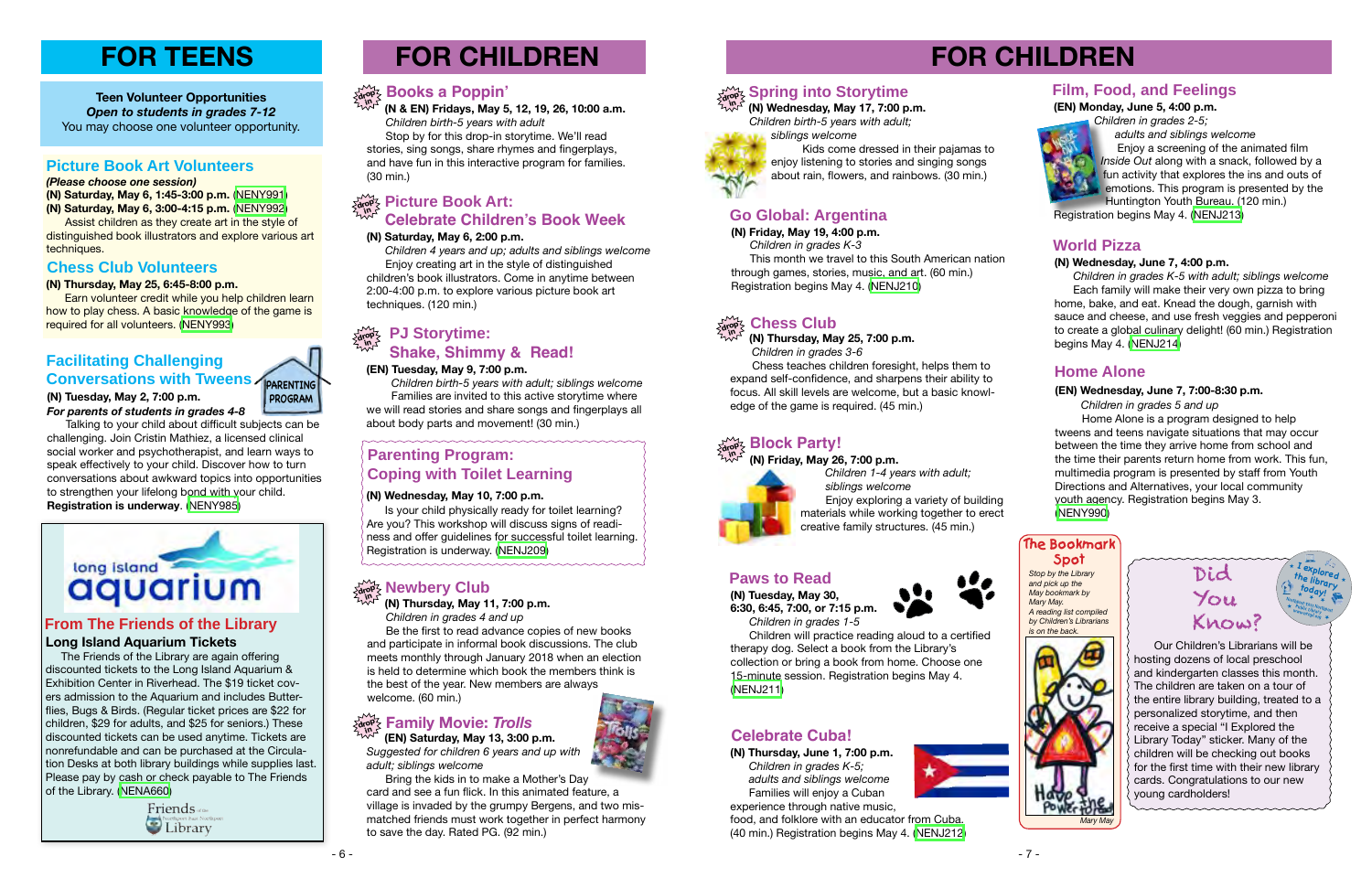# **FOR CHILDREN**

**(N) Thursday, June 1, 7:00 p.m.**  *Children in grades K-5; adults and siblings welcome* **Families will enjoy a Cuban** experience through native music,



food, and folklore with an educator from Cuba. (40 min.) Registration begins May 4. [\(NENJ212\)](http://alpha1.suffolk.lib.ny.us/record%3Dg1070932~S43)

### **Celebrate Cuba!**



**(N) Friday, May 19, 4:00 p.m.**

 *Children in grades K-3* This month we travel to this South American nation through games, stories, music, and art. (60 min.) Registration begins May 4. ([NENJ210](http://alpha1.suffolk.lib.ny.us/record%3Dg1070517~S43))

### **Go Global: Argentina**

# **FOR CHILDREN**

### **(EN) Tuesday, May 9, 7:00 p.m.**

 *Children birth-5 years with adult; siblings welcome* Families are invited to this active storytime where we will read stories and share songs and fingerplays all about body parts and movement! (30 min.)

#### **PJ Storytime: Shake, Shimmy & Read! drop in**

 **(EN) Saturday, May 13, 3:00 p.m.** *Suggested for children 6 years and up with adult; siblings welcome*

 Bring the kids in to make a Mother's Day card and see a fun flick. In this animated feature, a village is invaded by the grumpy Bergens, and two mismatched friends must work together in perfect harmony to save the day. Rated PG. (92 min.)

### $\frac{\sum\limits_{\mathbf{d} \in \mathcal{P}} \mathbf{d}}{\sum\limits_{\mathbf{d} \in \mathcal{P}} \mathbf{P}}$  **Picture Book Art: Celebrate Children's Book Week**

**in (N) Friday, May 26, 7:00 p.m.**



#### **drop Block Party!**

 *Children 1-4 years with adult; siblings welcome* Enjoy exploring a variety of building materials while working together to erect creative family structures. (45 min.)

#### **(N) Thursday, May 11, 7:00 p.m.**  *Children in grades 4 and up*

 Be the first to read advance copies of new books and participate in informal book discussions. The club meets monthly through January 2018 when an election is held to determine which book the members think is the best of the year. New members are always welcome. (60 min.)

### $\frac{\partial \mathbf{p}}{\partial \mathbf{p}}$  Family Movie: *Trolls*

#### **drop in Newbery Club**

 **(N & EN) Fridays, May 5, 12, 19, 26, 10:00 a.m.** *Children birth-5 years with adult*

 Stop by for this drop-in storytime. We'll read stories, sing songs, share rhymes and fingerplays, and have fun in this interactive program for families. (30 min.)

Kids come dressed in their pajamas to enjoy listening to stories and singing songs about rain, flowers, and rainbows. (30 min.)

#### $\frac{1}{2}$  **Spring into Storytime in**

#### **drop in Books a Poppin'**

### **(N) Saturday, May 6, 2:00 p.m.**

 *Children 4 years and up; adults and siblings welcome* Enjoy creating art in the style of distinguished children's book illustrators. Come in anytime between 2:00-4:00 p.m. to explore various picture book art techniques. (120 min.)

 Assist children as they create art in the style of distinguished book illustrators and explore various art techniques.

> **(N) Thursday, May 25, 7:00 p.m.**  *Children in grades 3-6*

**PARENTING PROGRAM**

#### **drop in Chess Club**

Chess teaches children foresight, helps them to expand self-confidence, and sharpens their ability to focus. All skill levels are welcome, but a basic knowledge of the game is required. (45 min.)

### **Paws to Read**

**(N) Tuesday, May 30, 6:30, 6:45, 7:00, or 7:15 p.m.**



 *Children in grades 1-5* Children will practice reading aloud to a certified

therapy dog. Select a book from the Library's collection or bring a book from home. Choose one 15-minute session. Registration begins May 4. [\(NENJ211\)](http://alpha1.suffolk.lib.ny.us/record%3Dg1071582~S43)

### **Parenting Program: Coping with Toilet Learning**

### **(N) Wednesday, May 10, 7:00 p.m.**

Is your child physically ready for toilet learning? Are you? This workshop will discuss signs of readiness and offer guidelines for successful toilet learning. Registration is underway. ([NENJ209](http://alpha1.suffolk.lib.ny.us/record%3Dg1070925~S43))

 **(N) Wednesday, May 17, 7:00 p.m.**  *Children birth-5 years with adult; siblings welcome*



**(EN) Monday, June 5, 4:00 p.m.**  *Children in grades 2-5;* 



 *adults and siblings welcome* Enjoy a screening of the animated film *Inside Out* along with a snack, followed by a **fun activity that explores the ins and outs of** emotions. This program is presented by the Huntington Youth Bureau. (120 min.)

Registration begins May 4. ([NENJ213](http://alpha1.suffolk.lib.ny.us/record%3Dg1071651~S43))

## **Film, Food, and Feelings**

### **(N) Wednesday, June 7, 4:00 p.m.**

 *Children in grades K-5 with adult; siblings welcome* Each family will make their very own pizza to bring home, bake, and eat. Knead the dough, garnish with sauce and cheese, and use fresh veggies and pepperoni to create a global culinary delight! (60 min.) Registration begins May 4. ([NENJ214](http://alpha1.suffolk.lib.ny.us/record%3Dg1070933~S43))

> Our Children's Librarians will be hosting dozens of local preschool and kindergarten classes this month. The children are taken on a tour of the entire library building, treated to a personalized storytime, and then receive a special "I Explored the Library Today" sticker. Many of the children will be checking out books for the first time with their new library cards. Congratulations to our new young cardholders! Did You Know? ★ **I explored the library today! Northport-East Northport**<br>★ Public Library **horthport Public Library www.nenpl.org** ★ ★ ★ ★ ★

### **World Pizza**

#### *(Please choose one session)*

**(N) Saturday, May 6, 1:45-3:00 p.m.** [\(NENY991](http://alpha1.suffolk.lib.ny.us/record%3Dg1071939~S43)) **(N) Saturday, May 6, 3:00-4:15 p.m.** [\(NENY992](http://alpha1.suffolk.lib.ny.us/record%3Dg1071941~S43))

#### **(N) Thursday, May 25, 6:45-8:00 p.m.**

 Earn volunteer credit while you help children learn how to play chess. A basic knowledge of the game is required for all volunteers. [\(NENY993](http://alpha1.suffolk.lib.ny.us/record%3Dg1071932~S43))

### **Picture Book Art Volunteers**

**Teen Volunteer Opportunities** *Open to students in grades 7-12* You may choose one volunteer opportunity.

### **Chess Club Volunteers**

### **Facilitating Challenging Conversations with Tweens**

#### **(N) Tuesday, May 2, 7:00 p.m.** *For parents of students in grades 4-8*

 Talking to your child about difficult subjects can be challenging. Join Cristin Mathiez, a licensed clinical social worker and psychotherapist, and learn ways to speak effectively to your child. Discover how to turn conversations about awkward topics into opportunities to strengthen your lifelong bond with your child. **Registration is underway**. ([NENY985](http://alpha1.suffolk.lib.ny.us/record%3Dg1071630~S43))



# **FOR TEENS**

*Stop by the Library and pick up the May bookmark by Mary May. A reading list compiled by Children's Librarians is on the back.*

### **The Bookmark Spot**

### **Long Island Aquarium Tickets**

 The Friends of the Library are again offering discounted tickets to the Long Island Aquarium & Exhibition Center in Riverhead. The \$19 ticket covers admission to the Aquarium and includes Butterflies, Bugs & Birds. (Regular ticket prices are \$22 for children, \$29 for adults, and \$25 for seniors.) These discounted tickets can be used anytime. Tickets are nonrefundable and can be purchased at the Circulation Desks at both library buildings while supplies last. Please pay by cash or check payable to The Friends of the Library. [\(NENA660\)](http://alpha1.suffolk.lib.ny.us/record%3Dg1072320~S43)

> Friends of the Library

## **From The Friends of the Library**



★

### **Home Alone**

### **(EN) Wednesday, June 7, 7:00-8:30 p.m.**

 *Children in grades 5 and up*

 Home Alone is a program designed to help tweens and teens navigate situations that may occur between the time they arrive home from school and the time their parents return home from work. This fun, multimedia program is presented by staff from Youth Directions and Alternatives, your local community youth agency. Registration begins May 3. ([NENY990\)](http://alpha1.suffolk.lib.ny.us/record%3Dg1071913~S43)